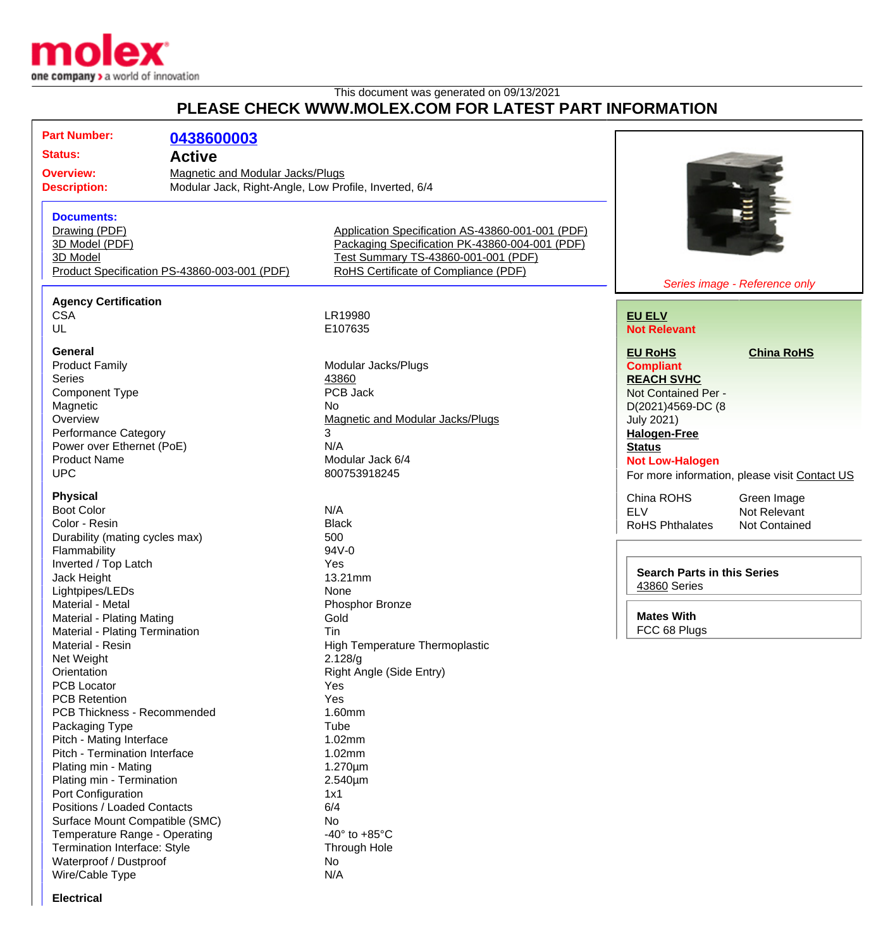

## This document was generated on 09/13/2021 **PLEASE CHECK WWW.MOLEX.COM FOR LATEST PART INFORMATION**

| <b>Active</b><br><b>Magnetic and Modular Jacks/Plugs</b><br><b>Overview:</b><br>Modular Jack, Right-Angle, Low Profile, Inverted, 6/4<br><b>Description:</b><br><b>Documents:</b><br>Drawing (PDF)<br>Application Specification AS-43860-001-001 (PDF)<br>3D Model (PDF)<br>Packaging Specification PK-43860-004-001 (PDF)<br>Test Summary TS-43860-001-001 (PDF)<br>3D Model<br>RoHS Certificate of Compliance (PDF)<br>Product Specification PS-43860-003-001 (PDF)<br>Series image - Reference only<br><b>Agency Certification</b><br><b>CSA</b><br>LR19980<br><b>EU ELV</b><br>UL<br>E107635<br><b>Not Relevant</b><br><b>General</b><br><b>EU RoHS</b><br><b>China RoHS</b><br><b>Product Family</b><br>Modular Jacks/Plugs<br><b>Compliant</b><br><b>Series</b><br>43860<br><b>REACH SVHC</b><br>PCB Jack<br><b>Component Type</b><br>Not Contained Per -<br>Magnetic<br>No<br>D(2021)4569-DC (8<br>Overview<br>Magnetic and Modular Jacks/Plugs<br>July 2021)<br>3<br>Performance Category<br><b>Halogen-Free</b><br>Power over Ethernet (PoE)<br>N/A<br><b>Status</b><br><b>Product Name</b><br>Modular Jack 6/4<br><b>Not Low-Halogen</b><br><b>UPC</b><br>800753918245<br>For more information, please visit Contact US<br><b>Physical</b><br>China ROHS<br>Green Image<br><b>Boot Color</b><br>N/A<br><b>ELV</b><br>Not Relevant<br>Color - Resin<br><b>Black</b><br><b>RoHS Phthalates</b><br>Not Contained<br>500<br>Durability (mating cycles max)<br>Flammability<br>$94V - 0$<br>Inverted / Top Latch<br>Yes<br><b>Search Parts in this Series</b><br>Jack Height<br>13.21mm<br><b>43860 Series</b><br>Lightpipes/LEDs<br>None<br>Material - Metal<br>Phosphor Bronze<br><b>Mates With</b><br>Gold<br><b>Material - Plating Mating</b><br>Material - Plating Termination<br>FCC 68 Plugs<br>Tin<br>Material - Resin<br>High Temperature Thermoplastic<br>Net Weight<br>2.128/g<br>Right Angle (Side Entry)<br>Orientation<br><b>PCB Locator</b><br>Yes<br><b>PCB Retention</b><br>Yes<br>PCB Thickness - Recommended<br>1.60mm<br>Packaging Type<br>Tube<br>Pitch - Mating Interface<br>1.02mm<br>Pitch - Termination Interface<br>1.02mm<br>Plating min - Mating<br>$1.270 \mu m$<br>Plating min - Termination<br>$2.540 \mu m$<br>Port Configuration<br>1x1<br>Positions / Loaded Contacts<br>6/4<br>Surface Mount Compatible (SMC)<br>No | <b>Part Number:</b>           | 0438600003 |                                  |  |
|-------------------------------------------------------------------------------------------------------------------------------------------------------------------------------------------------------------------------------------------------------------------------------------------------------------------------------------------------------------------------------------------------------------------------------------------------------------------------------------------------------------------------------------------------------------------------------------------------------------------------------------------------------------------------------------------------------------------------------------------------------------------------------------------------------------------------------------------------------------------------------------------------------------------------------------------------------------------------------------------------------------------------------------------------------------------------------------------------------------------------------------------------------------------------------------------------------------------------------------------------------------------------------------------------------------------------------------------------------------------------------------------------------------------------------------------------------------------------------------------------------------------------------------------------------------------------------------------------------------------------------------------------------------------------------------------------------------------------------------------------------------------------------------------------------------------------------------------------------------------------------------------------------------------------------------------------------------------------------------------------------------------------------------------------------------------------------------------------------------------------------------------------------------------------------------------------------------------------------------------------------------------------------------------------------------------------------------------------------------|-------------------------------|------------|----------------------------------|--|
|                                                                                                                                                                                                                                                                                                                                                                                                                                                                                                                                                                                                                                                                                                                                                                                                                                                                                                                                                                                                                                                                                                                                                                                                                                                                                                                                                                                                                                                                                                                                                                                                                                                                                                                                                                                                                                                                                                                                                                                                                                                                                                                                                                                                                                                                                                                                                             | <b>Status:</b>                |            |                                  |  |
|                                                                                                                                                                                                                                                                                                                                                                                                                                                                                                                                                                                                                                                                                                                                                                                                                                                                                                                                                                                                                                                                                                                                                                                                                                                                                                                                                                                                                                                                                                                                                                                                                                                                                                                                                                                                                                                                                                                                                                                                                                                                                                                                                                                                                                                                                                                                                             |                               |            |                                  |  |
|                                                                                                                                                                                                                                                                                                                                                                                                                                                                                                                                                                                                                                                                                                                                                                                                                                                                                                                                                                                                                                                                                                                                                                                                                                                                                                                                                                                                                                                                                                                                                                                                                                                                                                                                                                                                                                                                                                                                                                                                                                                                                                                                                                                                                                                                                                                                                             |                               |            |                                  |  |
|                                                                                                                                                                                                                                                                                                                                                                                                                                                                                                                                                                                                                                                                                                                                                                                                                                                                                                                                                                                                                                                                                                                                                                                                                                                                                                                                                                                                                                                                                                                                                                                                                                                                                                                                                                                                                                                                                                                                                                                                                                                                                                                                                                                                                                                                                                                                                             |                               |            |                                  |  |
|                                                                                                                                                                                                                                                                                                                                                                                                                                                                                                                                                                                                                                                                                                                                                                                                                                                                                                                                                                                                                                                                                                                                                                                                                                                                                                                                                                                                                                                                                                                                                                                                                                                                                                                                                                                                                                                                                                                                                                                                                                                                                                                                                                                                                                                                                                                                                             |                               |            |                                  |  |
|                                                                                                                                                                                                                                                                                                                                                                                                                                                                                                                                                                                                                                                                                                                                                                                                                                                                                                                                                                                                                                                                                                                                                                                                                                                                                                                                                                                                                                                                                                                                                                                                                                                                                                                                                                                                                                                                                                                                                                                                                                                                                                                                                                                                                                                                                                                                                             |                               |            |                                  |  |
|                                                                                                                                                                                                                                                                                                                                                                                                                                                                                                                                                                                                                                                                                                                                                                                                                                                                                                                                                                                                                                                                                                                                                                                                                                                                                                                                                                                                                                                                                                                                                                                                                                                                                                                                                                                                                                                                                                                                                                                                                                                                                                                                                                                                                                                                                                                                                             |                               |            |                                  |  |
|                                                                                                                                                                                                                                                                                                                                                                                                                                                                                                                                                                                                                                                                                                                                                                                                                                                                                                                                                                                                                                                                                                                                                                                                                                                                                                                                                                                                                                                                                                                                                                                                                                                                                                                                                                                                                                                                                                                                                                                                                                                                                                                                                                                                                                                                                                                                                             |                               |            |                                  |  |
|                                                                                                                                                                                                                                                                                                                                                                                                                                                                                                                                                                                                                                                                                                                                                                                                                                                                                                                                                                                                                                                                                                                                                                                                                                                                                                                                                                                                                                                                                                                                                                                                                                                                                                                                                                                                                                                                                                                                                                                                                                                                                                                                                                                                                                                                                                                                                             |                               |            |                                  |  |
|                                                                                                                                                                                                                                                                                                                                                                                                                                                                                                                                                                                                                                                                                                                                                                                                                                                                                                                                                                                                                                                                                                                                                                                                                                                                                                                                                                                                                                                                                                                                                                                                                                                                                                                                                                                                                                                                                                                                                                                                                                                                                                                                                                                                                                                                                                                                                             |                               |            |                                  |  |
|                                                                                                                                                                                                                                                                                                                                                                                                                                                                                                                                                                                                                                                                                                                                                                                                                                                                                                                                                                                                                                                                                                                                                                                                                                                                                                                                                                                                                                                                                                                                                                                                                                                                                                                                                                                                                                                                                                                                                                                                                                                                                                                                                                                                                                                                                                                                                             |                               |            |                                  |  |
|                                                                                                                                                                                                                                                                                                                                                                                                                                                                                                                                                                                                                                                                                                                                                                                                                                                                                                                                                                                                                                                                                                                                                                                                                                                                                                                                                                                                                                                                                                                                                                                                                                                                                                                                                                                                                                                                                                                                                                                                                                                                                                                                                                                                                                                                                                                                                             |                               |            |                                  |  |
|                                                                                                                                                                                                                                                                                                                                                                                                                                                                                                                                                                                                                                                                                                                                                                                                                                                                                                                                                                                                                                                                                                                                                                                                                                                                                                                                                                                                                                                                                                                                                                                                                                                                                                                                                                                                                                                                                                                                                                                                                                                                                                                                                                                                                                                                                                                                                             |                               |            |                                  |  |
|                                                                                                                                                                                                                                                                                                                                                                                                                                                                                                                                                                                                                                                                                                                                                                                                                                                                                                                                                                                                                                                                                                                                                                                                                                                                                                                                                                                                                                                                                                                                                                                                                                                                                                                                                                                                                                                                                                                                                                                                                                                                                                                                                                                                                                                                                                                                                             |                               |            |                                  |  |
|                                                                                                                                                                                                                                                                                                                                                                                                                                                                                                                                                                                                                                                                                                                                                                                                                                                                                                                                                                                                                                                                                                                                                                                                                                                                                                                                                                                                                                                                                                                                                                                                                                                                                                                                                                                                                                                                                                                                                                                                                                                                                                                                                                                                                                                                                                                                                             |                               |            |                                  |  |
|                                                                                                                                                                                                                                                                                                                                                                                                                                                                                                                                                                                                                                                                                                                                                                                                                                                                                                                                                                                                                                                                                                                                                                                                                                                                                                                                                                                                                                                                                                                                                                                                                                                                                                                                                                                                                                                                                                                                                                                                                                                                                                                                                                                                                                                                                                                                                             |                               |            |                                  |  |
|                                                                                                                                                                                                                                                                                                                                                                                                                                                                                                                                                                                                                                                                                                                                                                                                                                                                                                                                                                                                                                                                                                                                                                                                                                                                                                                                                                                                                                                                                                                                                                                                                                                                                                                                                                                                                                                                                                                                                                                                                                                                                                                                                                                                                                                                                                                                                             |                               |            |                                  |  |
|                                                                                                                                                                                                                                                                                                                                                                                                                                                                                                                                                                                                                                                                                                                                                                                                                                                                                                                                                                                                                                                                                                                                                                                                                                                                                                                                                                                                                                                                                                                                                                                                                                                                                                                                                                                                                                                                                                                                                                                                                                                                                                                                                                                                                                                                                                                                                             |                               |            |                                  |  |
|                                                                                                                                                                                                                                                                                                                                                                                                                                                                                                                                                                                                                                                                                                                                                                                                                                                                                                                                                                                                                                                                                                                                                                                                                                                                                                                                                                                                                                                                                                                                                                                                                                                                                                                                                                                                                                                                                                                                                                                                                                                                                                                                                                                                                                                                                                                                                             |                               |            |                                  |  |
|                                                                                                                                                                                                                                                                                                                                                                                                                                                                                                                                                                                                                                                                                                                                                                                                                                                                                                                                                                                                                                                                                                                                                                                                                                                                                                                                                                                                                                                                                                                                                                                                                                                                                                                                                                                                                                                                                                                                                                                                                                                                                                                                                                                                                                                                                                                                                             |                               |            |                                  |  |
|                                                                                                                                                                                                                                                                                                                                                                                                                                                                                                                                                                                                                                                                                                                                                                                                                                                                                                                                                                                                                                                                                                                                                                                                                                                                                                                                                                                                                                                                                                                                                                                                                                                                                                                                                                                                                                                                                                                                                                                                                                                                                                                                                                                                                                                                                                                                                             |                               |            |                                  |  |
|                                                                                                                                                                                                                                                                                                                                                                                                                                                                                                                                                                                                                                                                                                                                                                                                                                                                                                                                                                                                                                                                                                                                                                                                                                                                                                                                                                                                                                                                                                                                                                                                                                                                                                                                                                                                                                                                                                                                                                                                                                                                                                                                                                                                                                                                                                                                                             |                               |            |                                  |  |
|                                                                                                                                                                                                                                                                                                                                                                                                                                                                                                                                                                                                                                                                                                                                                                                                                                                                                                                                                                                                                                                                                                                                                                                                                                                                                                                                                                                                                                                                                                                                                                                                                                                                                                                                                                                                                                                                                                                                                                                                                                                                                                                                                                                                                                                                                                                                                             |                               |            |                                  |  |
|                                                                                                                                                                                                                                                                                                                                                                                                                                                                                                                                                                                                                                                                                                                                                                                                                                                                                                                                                                                                                                                                                                                                                                                                                                                                                                                                                                                                                                                                                                                                                                                                                                                                                                                                                                                                                                                                                                                                                                                                                                                                                                                                                                                                                                                                                                                                                             |                               |            |                                  |  |
|                                                                                                                                                                                                                                                                                                                                                                                                                                                                                                                                                                                                                                                                                                                                                                                                                                                                                                                                                                                                                                                                                                                                                                                                                                                                                                                                                                                                                                                                                                                                                                                                                                                                                                                                                                                                                                                                                                                                                                                                                                                                                                                                                                                                                                                                                                                                                             |                               |            |                                  |  |
|                                                                                                                                                                                                                                                                                                                                                                                                                                                                                                                                                                                                                                                                                                                                                                                                                                                                                                                                                                                                                                                                                                                                                                                                                                                                                                                                                                                                                                                                                                                                                                                                                                                                                                                                                                                                                                                                                                                                                                                                                                                                                                                                                                                                                                                                                                                                                             |                               |            |                                  |  |
|                                                                                                                                                                                                                                                                                                                                                                                                                                                                                                                                                                                                                                                                                                                                                                                                                                                                                                                                                                                                                                                                                                                                                                                                                                                                                                                                                                                                                                                                                                                                                                                                                                                                                                                                                                                                                                                                                                                                                                                                                                                                                                                                                                                                                                                                                                                                                             |                               |            |                                  |  |
|                                                                                                                                                                                                                                                                                                                                                                                                                                                                                                                                                                                                                                                                                                                                                                                                                                                                                                                                                                                                                                                                                                                                                                                                                                                                                                                                                                                                                                                                                                                                                                                                                                                                                                                                                                                                                                                                                                                                                                                                                                                                                                                                                                                                                                                                                                                                                             |                               |            |                                  |  |
|                                                                                                                                                                                                                                                                                                                                                                                                                                                                                                                                                                                                                                                                                                                                                                                                                                                                                                                                                                                                                                                                                                                                                                                                                                                                                                                                                                                                                                                                                                                                                                                                                                                                                                                                                                                                                                                                                                                                                                                                                                                                                                                                                                                                                                                                                                                                                             |                               |            |                                  |  |
|                                                                                                                                                                                                                                                                                                                                                                                                                                                                                                                                                                                                                                                                                                                                                                                                                                                                                                                                                                                                                                                                                                                                                                                                                                                                                                                                                                                                                                                                                                                                                                                                                                                                                                                                                                                                                                                                                                                                                                                                                                                                                                                                                                                                                                                                                                                                                             |                               |            |                                  |  |
|                                                                                                                                                                                                                                                                                                                                                                                                                                                                                                                                                                                                                                                                                                                                                                                                                                                                                                                                                                                                                                                                                                                                                                                                                                                                                                                                                                                                                                                                                                                                                                                                                                                                                                                                                                                                                                                                                                                                                                                                                                                                                                                                                                                                                                                                                                                                                             |                               |            |                                  |  |
|                                                                                                                                                                                                                                                                                                                                                                                                                                                                                                                                                                                                                                                                                                                                                                                                                                                                                                                                                                                                                                                                                                                                                                                                                                                                                                                                                                                                                                                                                                                                                                                                                                                                                                                                                                                                                                                                                                                                                                                                                                                                                                                                                                                                                                                                                                                                                             |                               |            |                                  |  |
|                                                                                                                                                                                                                                                                                                                                                                                                                                                                                                                                                                                                                                                                                                                                                                                                                                                                                                                                                                                                                                                                                                                                                                                                                                                                                                                                                                                                                                                                                                                                                                                                                                                                                                                                                                                                                                                                                                                                                                                                                                                                                                                                                                                                                                                                                                                                                             |                               |            |                                  |  |
|                                                                                                                                                                                                                                                                                                                                                                                                                                                                                                                                                                                                                                                                                                                                                                                                                                                                                                                                                                                                                                                                                                                                                                                                                                                                                                                                                                                                                                                                                                                                                                                                                                                                                                                                                                                                                                                                                                                                                                                                                                                                                                                                                                                                                                                                                                                                                             |                               |            |                                  |  |
|                                                                                                                                                                                                                                                                                                                                                                                                                                                                                                                                                                                                                                                                                                                                                                                                                                                                                                                                                                                                                                                                                                                                                                                                                                                                                                                                                                                                                                                                                                                                                                                                                                                                                                                                                                                                                                                                                                                                                                                                                                                                                                                                                                                                                                                                                                                                                             |                               |            |                                  |  |
|                                                                                                                                                                                                                                                                                                                                                                                                                                                                                                                                                                                                                                                                                                                                                                                                                                                                                                                                                                                                                                                                                                                                                                                                                                                                                                                                                                                                                                                                                                                                                                                                                                                                                                                                                                                                                                                                                                                                                                                                                                                                                                                                                                                                                                                                                                                                                             |                               |            |                                  |  |
|                                                                                                                                                                                                                                                                                                                                                                                                                                                                                                                                                                                                                                                                                                                                                                                                                                                                                                                                                                                                                                                                                                                                                                                                                                                                                                                                                                                                                                                                                                                                                                                                                                                                                                                                                                                                                                                                                                                                                                                                                                                                                                                                                                                                                                                                                                                                                             |                               |            |                                  |  |
|                                                                                                                                                                                                                                                                                                                                                                                                                                                                                                                                                                                                                                                                                                                                                                                                                                                                                                                                                                                                                                                                                                                                                                                                                                                                                                                                                                                                                                                                                                                                                                                                                                                                                                                                                                                                                                                                                                                                                                                                                                                                                                                                                                                                                                                                                                                                                             |                               |            |                                  |  |
|                                                                                                                                                                                                                                                                                                                                                                                                                                                                                                                                                                                                                                                                                                                                                                                                                                                                                                                                                                                                                                                                                                                                                                                                                                                                                                                                                                                                                                                                                                                                                                                                                                                                                                                                                                                                                                                                                                                                                                                                                                                                                                                                                                                                                                                                                                                                                             |                               |            |                                  |  |
|                                                                                                                                                                                                                                                                                                                                                                                                                                                                                                                                                                                                                                                                                                                                                                                                                                                                                                                                                                                                                                                                                                                                                                                                                                                                                                                                                                                                                                                                                                                                                                                                                                                                                                                                                                                                                                                                                                                                                                                                                                                                                                                                                                                                                                                                                                                                                             |                               |            |                                  |  |
|                                                                                                                                                                                                                                                                                                                                                                                                                                                                                                                                                                                                                                                                                                                                                                                                                                                                                                                                                                                                                                                                                                                                                                                                                                                                                                                                                                                                                                                                                                                                                                                                                                                                                                                                                                                                                                                                                                                                                                                                                                                                                                                                                                                                                                                                                                                                                             |                               |            |                                  |  |
|                                                                                                                                                                                                                                                                                                                                                                                                                                                                                                                                                                                                                                                                                                                                                                                                                                                                                                                                                                                                                                                                                                                                                                                                                                                                                                                                                                                                                                                                                                                                                                                                                                                                                                                                                                                                                                                                                                                                                                                                                                                                                                                                                                                                                                                                                                                                                             |                               |            |                                  |  |
|                                                                                                                                                                                                                                                                                                                                                                                                                                                                                                                                                                                                                                                                                                                                                                                                                                                                                                                                                                                                                                                                                                                                                                                                                                                                                                                                                                                                                                                                                                                                                                                                                                                                                                                                                                                                                                                                                                                                                                                                                                                                                                                                                                                                                                                                                                                                                             |                               |            |                                  |  |
|                                                                                                                                                                                                                                                                                                                                                                                                                                                                                                                                                                                                                                                                                                                                                                                                                                                                                                                                                                                                                                                                                                                                                                                                                                                                                                                                                                                                                                                                                                                                                                                                                                                                                                                                                                                                                                                                                                                                                                                                                                                                                                                                                                                                                                                                                                                                                             |                               |            |                                  |  |
|                                                                                                                                                                                                                                                                                                                                                                                                                                                                                                                                                                                                                                                                                                                                                                                                                                                                                                                                                                                                                                                                                                                                                                                                                                                                                                                                                                                                                                                                                                                                                                                                                                                                                                                                                                                                                                                                                                                                                                                                                                                                                                                                                                                                                                                                                                                                                             |                               |            |                                  |  |
|                                                                                                                                                                                                                                                                                                                                                                                                                                                                                                                                                                                                                                                                                                                                                                                                                                                                                                                                                                                                                                                                                                                                                                                                                                                                                                                                                                                                                                                                                                                                                                                                                                                                                                                                                                                                                                                                                                                                                                                                                                                                                                                                                                                                                                                                                                                                                             | Temperature Range - Operating |            | -40 $\degree$ to +85 $\degree$ C |  |
| Termination Interface: Style<br>Through Hole                                                                                                                                                                                                                                                                                                                                                                                                                                                                                                                                                                                                                                                                                                                                                                                                                                                                                                                                                                                                                                                                                                                                                                                                                                                                                                                                                                                                                                                                                                                                                                                                                                                                                                                                                                                                                                                                                                                                                                                                                                                                                                                                                                                                                                                                                                                |                               |            |                                  |  |
| No                                                                                                                                                                                                                                                                                                                                                                                                                                                                                                                                                                                                                                                                                                                                                                                                                                                                                                                                                                                                                                                                                                                                                                                                                                                                                                                                                                                                                                                                                                                                                                                                                                                                                                                                                                                                                                                                                                                                                                                                                                                                                                                                                                                                                                                                                                                                                          | Waterproof / Dustproof        |            |                                  |  |
| Wire/Cable Type<br>N/A                                                                                                                                                                                                                                                                                                                                                                                                                                                                                                                                                                                                                                                                                                                                                                                                                                                                                                                                                                                                                                                                                                                                                                                                                                                                                                                                                                                                                                                                                                                                                                                                                                                                                                                                                                                                                                                                                                                                                                                                                                                                                                                                                                                                                                                                                                                                      |                               |            |                                  |  |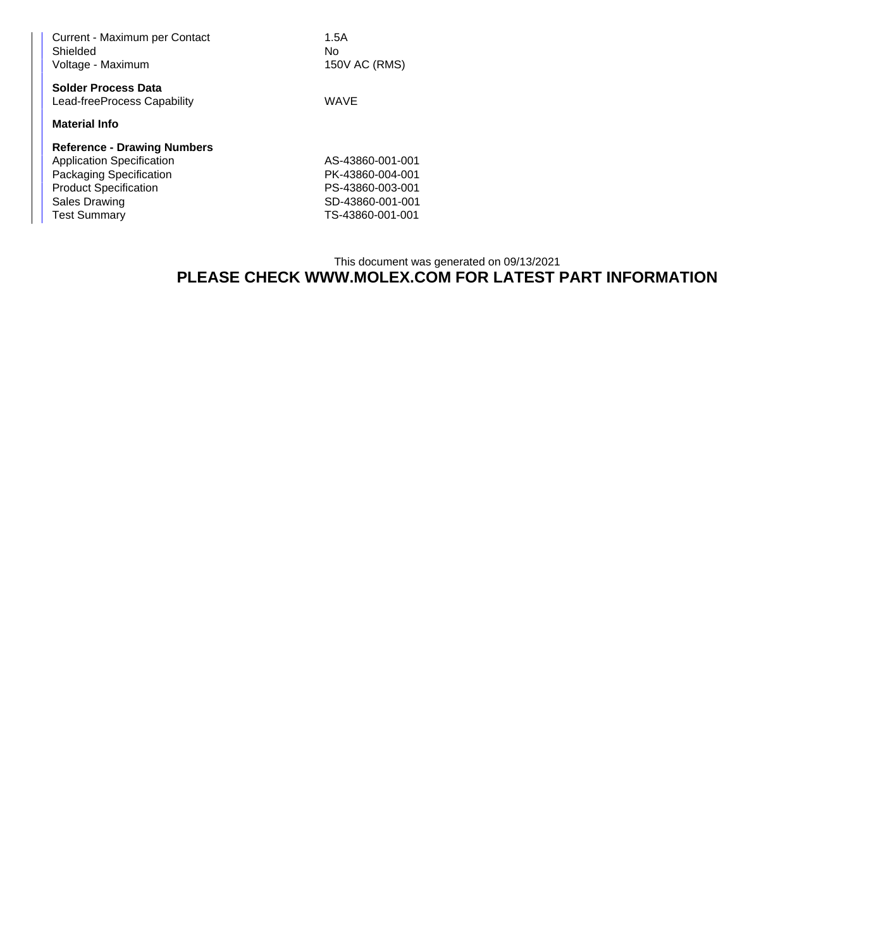| Current - Maximum per Contact<br>Shielded<br>Voltage - Maximum                                                                                                            | 1.5A<br>No.<br>150V AC (RMS)                                                                     |
|---------------------------------------------------------------------------------------------------------------------------------------------------------------------------|--------------------------------------------------------------------------------------------------|
| <b>Solder Process Data</b><br>Lead-freeProcess Capability                                                                                                                 | <b>WAVE</b>                                                                                      |
| <b>Material Info</b>                                                                                                                                                      |                                                                                                  |
| <b>Reference - Drawing Numbers</b><br><b>Application Specification</b><br>Packaging Specification<br><b>Product Specification</b><br>Sales Drawing<br><b>Test Summary</b> | AS-43860-001-001<br>PK-43860-004-001<br>PS-43860-003-001<br>SD-43860-001-001<br>TS-43860-001-001 |

## This document was generated on 09/13/2021 **PLEASE CHECK WWW.MOLEX.COM FOR LATEST PART INFORMATION**